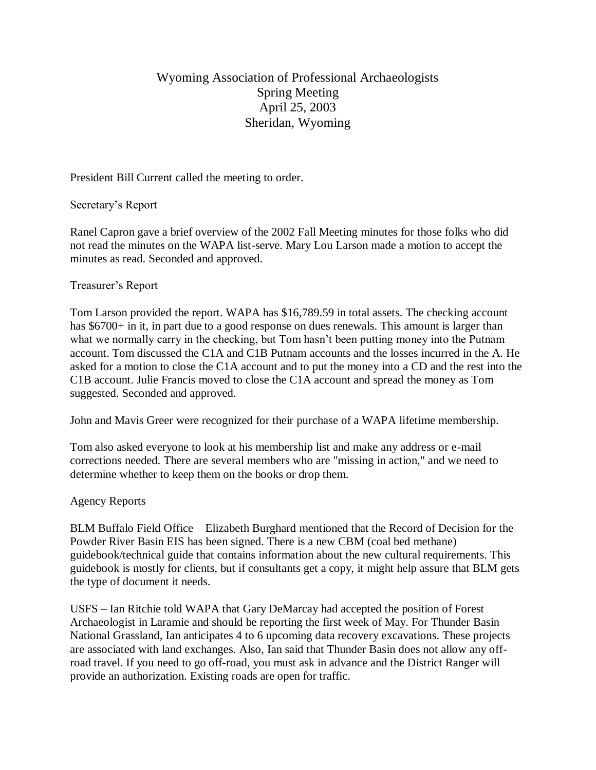# Wyoming Association of Professional Archaeologists Spring Meeting April 25, 2003 Sheridan, Wyoming

President Bill Current called the meeting to order.

Secretary's Report

Ranel Capron gave a brief overview of the 2002 Fall Meeting minutes for those folks who did not read the minutes on the WAPA list-serve. Mary Lou Larson made a motion to accept the minutes as read. Seconded and approved.

#### Treasurer's Report

Tom Larson provided the report. WAPA has \$16,789.59 in total assets. The checking account has \$6700+ in it, in part due to a good response on dues renewals. This amount is larger than what we normally carry in the checking, but Tom hasn't been putting money into the Putnam account. Tom discussed the C1A and C1B Putnam accounts and the losses incurred in the A. He asked for a motion to close the C1A account and to put the money into a CD and the rest into the C1B account. Julie Francis moved to close the C1A account and spread the money as Tom suggested. Seconded and approved.

John and Mavis Greer were recognized for their purchase of a WAPA lifetime membership.

Tom also asked everyone to look at his membership list and make any address or e-mail corrections needed. There are several members who are "missing in action," and we need to determine whether to keep them on the books or drop them.

## Agency Reports

BLM Buffalo Field Office – Elizabeth Burghard mentioned that the Record of Decision for the Powder River Basin EIS has been signed. There is a new CBM (coal bed methane) guidebook/technical guide that contains information about the new cultural requirements. This guidebook is mostly for clients, but if consultants get a copy, it might help assure that BLM gets the type of document it needs.

USFS – Ian Ritchie told WAPA that Gary DeMarcay had accepted the position of Forest Archaeologist in Laramie and should be reporting the first week of May. For Thunder Basin National Grassland, Ian anticipates 4 to 6 upcoming data recovery excavations. These projects are associated with land exchanges. Also, Ian said that Thunder Basin does not allow any offroad travel. If you need to go off-road, you must ask in advance and the District Ranger will provide an authorization. Existing roads are open for traffic.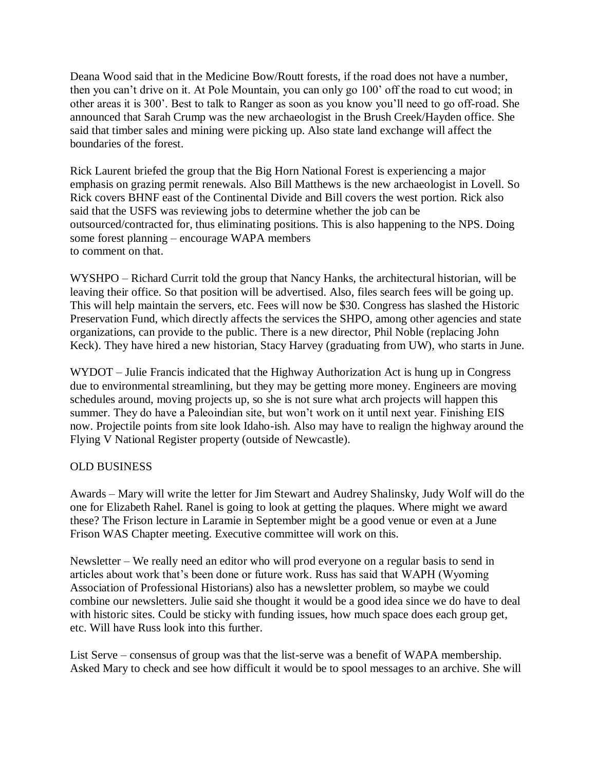Deana Wood said that in the Medicine Bow/Routt forests, if the road does not have a number, then you can't drive on it. At Pole Mountain, you can only go 100' off the road to cut wood; in other areas it is 300'. Best to talk to Ranger as soon as you know you'll need to go off-road. She announced that Sarah Crump was the new archaeologist in the Brush Creek/Hayden office. She said that timber sales and mining were picking up. Also state land exchange will affect the boundaries of the forest.

Rick Laurent briefed the group that the Big Horn National Forest is experiencing a major emphasis on grazing permit renewals. Also Bill Matthews is the new archaeologist in Lovell. So Rick covers BHNF east of the Continental Divide and Bill covers the west portion. Rick also said that the USFS was reviewing jobs to determine whether the job can be outsourced/contracted for, thus eliminating positions. This is also happening to the NPS. Doing some forest planning – encourage WAPA members to comment on that.

WYSHPO – Richard Currit told the group that Nancy Hanks, the architectural historian, will be leaving their office. So that position will be advertised. Also, files search fees will be going up. This will help maintain the servers, etc. Fees will now be \$30. Congress has slashed the Historic Preservation Fund, which directly affects the services the SHPO, among other agencies and state organizations, can provide to the public. There is a new director, Phil Noble (replacing John Keck). They have hired a new historian, Stacy Harvey (graduating from UW), who starts in June.

WYDOT – Julie Francis indicated that the Highway Authorization Act is hung up in Congress due to environmental streamlining, but they may be getting more money. Engineers are moving schedules around, moving projects up, so she is not sure what arch projects will happen this summer. They do have a Paleoindian site, but won't work on it until next year. Finishing EIS now. Projectile points from site look Idaho-ish. Also may have to realign the highway around the Flying V National Register property (outside of Newcastle).

## OLD BUSINESS

Awards – Mary will write the letter for Jim Stewart and Audrey Shalinsky, Judy Wolf will do the one for Elizabeth Rahel. Ranel is going to look at getting the plaques. Where might we award these? The Frison lecture in Laramie in September might be a good venue or even at a June Frison WAS Chapter meeting. Executive committee will work on this.

Newsletter – We really need an editor who will prod everyone on a regular basis to send in articles about work that's been done or future work. Russ has said that WAPH (Wyoming Association of Professional Historians) also has a newsletter problem, so maybe we could combine our newsletters. Julie said she thought it would be a good idea since we do have to deal with historic sites. Could be sticky with funding issues, how much space does each group get, etc. Will have Russ look into this further.

List Serve – consensus of group was that the list-serve was a benefit of WAPA membership. Asked Mary to check and see how difficult it would be to spool messages to an archive. She will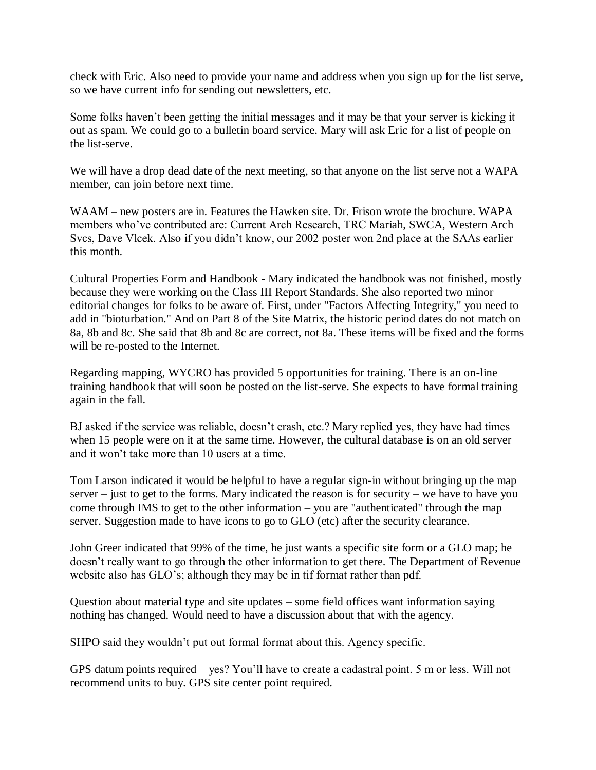check with Eric. Also need to provide your name and address when you sign up for the list serve, so we have current info for sending out newsletters, etc.

Some folks haven't been getting the initial messages and it may be that your server is kicking it out as spam. We could go to a bulletin board service. Mary will ask Eric for a list of people on the list-serve.

We will have a drop dead date of the next meeting, so that anyone on the list serve not a WAPA member, can join before next time.

WAAM – new posters are in. Features the Hawken site. Dr. Frison wrote the brochure. WAPA members who've contributed are: Current Arch Research, TRC Mariah, SWCA, Western Arch Svcs, Dave Vlcek. Also if you didn't know, our 2002 poster won 2nd place at the SAAs earlier this month.

Cultural Properties Form and Handbook - Mary indicated the handbook was not finished, mostly because they were working on the Class III Report Standards. She also reported two minor editorial changes for folks to be aware of. First, under "Factors Affecting Integrity," you need to add in "bioturbation." And on Part 8 of the Site Matrix, the historic period dates do not match on 8a, 8b and 8c. She said that 8b and 8c are correct, not 8a. These items will be fixed and the forms will be re-posted to the Internet.

Regarding mapping, WYCRO has provided 5 opportunities for training. There is an on-line training handbook that will soon be posted on the list-serve. She expects to have formal training again in the fall.

BJ asked if the service was reliable, doesn't crash, etc.? Mary replied yes, they have had times when 15 people were on it at the same time. However, the cultural database is on an old server and it won't take more than 10 users at a time.

Tom Larson indicated it would be helpful to have a regular sign-in without bringing up the map server – just to get to the forms. Mary indicated the reason is for security – we have to have you come through IMS to get to the other information – you are "authenticated" through the map server. Suggestion made to have icons to go to GLO (etc) after the security clearance.

John Greer indicated that 99% of the time, he just wants a specific site form or a GLO map; he doesn't really want to go through the other information to get there. The Department of Revenue website also has GLO's; although they may be in tif format rather than pdf.

Question about material type and site updates – some field offices want information saying nothing has changed. Would need to have a discussion about that with the agency.

SHPO said they wouldn't put out formal format about this. Agency specific.

GPS datum points required – yes? You'll have to create a cadastral point. 5 m or less. Will not recommend units to buy. GPS site center point required.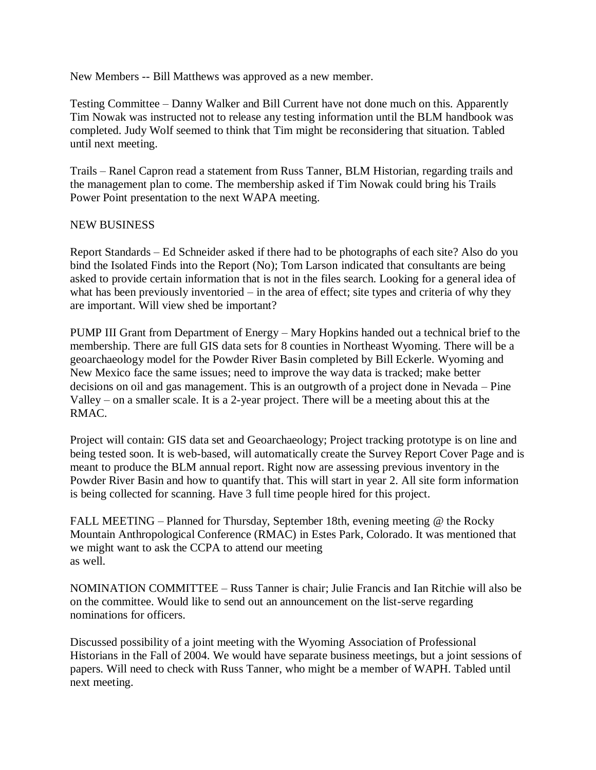New Members -- Bill Matthews was approved as a new member.

Testing Committee – Danny Walker and Bill Current have not done much on this. Apparently Tim Nowak was instructed not to release any testing information until the BLM handbook was completed. Judy Wolf seemed to think that Tim might be reconsidering that situation. Tabled until next meeting.

Trails – Ranel Capron read a statement from Russ Tanner, BLM Historian, regarding trails and the management plan to come. The membership asked if Tim Nowak could bring his Trails Power Point presentation to the next WAPA meeting.

#### NEW BUSINESS

Report Standards – Ed Schneider asked if there had to be photographs of each site? Also do you bind the Isolated Finds into the Report (No); Tom Larson indicated that consultants are being asked to provide certain information that is not in the files search. Looking for a general idea of what has been previously inventoried – in the area of effect; site types and criteria of why they are important. Will view shed be important?

PUMP III Grant from Department of Energy – Mary Hopkins handed out a technical brief to the membership. There are full GIS data sets for 8 counties in Northeast Wyoming. There will be a geoarchaeology model for the Powder River Basin completed by Bill Eckerle. Wyoming and New Mexico face the same issues; need to improve the way data is tracked; make better decisions on oil and gas management. This is an outgrowth of a project done in Nevada – Pine Valley – on a smaller scale. It is a 2-year project. There will be a meeting about this at the RMAC.

Project will contain: GIS data set and Geoarchaeology; Project tracking prototype is on line and being tested soon. It is web-based, will automatically create the Survey Report Cover Page and is meant to produce the BLM annual report. Right now are assessing previous inventory in the Powder River Basin and how to quantify that. This will start in year 2. All site form information is being collected for scanning. Have 3 full time people hired for this project.

FALL MEETING – Planned for Thursday, September 18th, evening meeting @ the Rocky Mountain Anthropological Conference (RMAC) in Estes Park, Colorado. It was mentioned that we might want to ask the CCPA to attend our meeting as well.

NOMINATION COMMITTEE – Russ Tanner is chair; Julie Francis and Ian Ritchie will also be on the committee. Would like to send out an announcement on the list-serve regarding nominations for officers.

Discussed possibility of a joint meeting with the Wyoming Association of Professional Historians in the Fall of 2004. We would have separate business meetings, but a joint sessions of papers. Will need to check with Russ Tanner, who might be a member of WAPH. Tabled until next meeting.